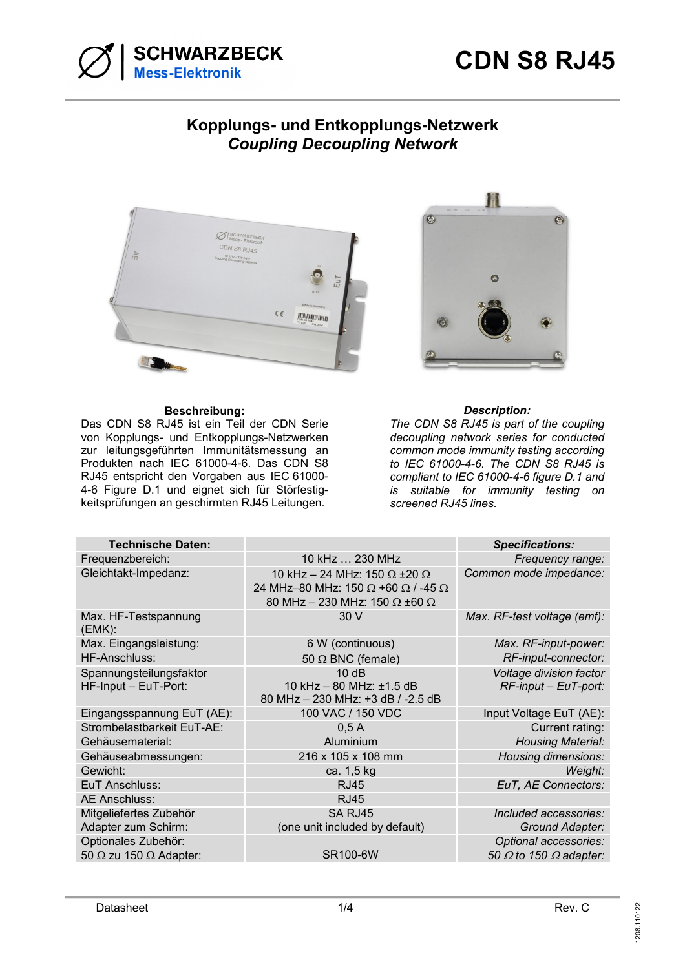

## **Kopplungs- und Entkopplungs-Netzwerk**  *Coupling Decoupling Network*



## **Beschreibung:** *Description:*

Das CDN S8 RJ45 ist ein Teil der CDN Serie von Kopplungs- und Entkopplungs-Netzwerken zur leitungsgeführten Immunitätsmessung an Produkten nach IEC 61000-4-6. Das CDN S8 RJ45 entspricht den Vorgaben aus IEC 61000- 4-6 Figure D.1 und eignet sich für Störfestigkeitsprüfungen an geschirmten RJ45 Leitungen.



*The CDN S8 RJ45 is part of the coupling decoupling network series for conducted common mode immunity testing according to IEC 61000-4-6. The CDN S8 RJ45 is compliant to IEC 61000-4-6 figure D.1 and is suitable for immunity testing on screened RJ45 lines.* 

| <b>Technische Daten:</b>                                    |                                                                                                                                                      | <b>Specifications:</b>                                        |
|-------------------------------------------------------------|------------------------------------------------------------------------------------------------------------------------------------------------------|---------------------------------------------------------------|
| Frequenzbereich:                                            | 10 kHz  230 MHz                                                                                                                                      | Frequency range:                                              |
| Gleichtakt-Impedanz:                                        | 10 kHz - 24 MHz: 150 $\Omega$ ±20 $\Omega$<br>24 MHz-80 MHz: 150 $\Omega$ +60 $\Omega$ / -45 $\Omega$<br>80 MHz - 230 MHz: 150 $\Omega$ ±60 $\Omega$ | Common mode impedance:                                        |
| Max. HF-Testspannung<br>(EMK):                              | 30 V                                                                                                                                                 | Max. RF-test voltage (emf):                                   |
| Max. Eingangsleistung:                                      | 6 W (continuous)                                                                                                                                     | Max. RF-input-power:                                          |
| <b>HF-Anschluss:</b>                                        | 50 $\Omega$ BNC (female)                                                                                                                             | RF-input-connector:                                           |
| Spannungsteilungsfaktor<br>HF-Input - EuT-Port:             | 10dB<br>10 kHz - 80 MHz: ±1.5 dB<br>80 MHz - 230 MHz: +3 dB / -2.5 dB                                                                                | Voltage division factor<br>$RF$ -input – EuT-port:            |
| Eingangsspannung EuT (AE):                                  | 100 VAC / 150 VDC                                                                                                                                    | Input Voltage EuT (AE):                                       |
| Strombelastbarkeit EuT-AE:                                  | 0,5A                                                                                                                                                 | Current rating:                                               |
| Gehäusematerial:                                            | Aluminium                                                                                                                                            | <b>Housing Material:</b>                                      |
| Gehäuseabmessungen:                                         | 216 x 105 x 108 mm                                                                                                                                   | Housing dimensions:                                           |
| Gewicht:                                                    | ca. 1,5 kg                                                                                                                                           | Weight:                                                       |
| EuT Anschluss:                                              | <b>RJ45</b>                                                                                                                                          | EuT, AE Connectors:                                           |
| <b>AE Anschluss:</b>                                        | <b>RJ45</b>                                                                                                                                          |                                                               |
| Mitgeliefertes Zubehör<br>Adapter zum Schirm:               | SA RJ45<br>(one unit included by default)                                                                                                            | Included accessories:<br>Ground Adapter:                      |
| Optionales Zubehör:<br>50 $\Omega$ zu 150 $\Omega$ Adapter: | <b>SR100-6W</b>                                                                                                                                      | Optional accessories:<br>50 $\Omega$ to 150 $\Omega$ adapter: |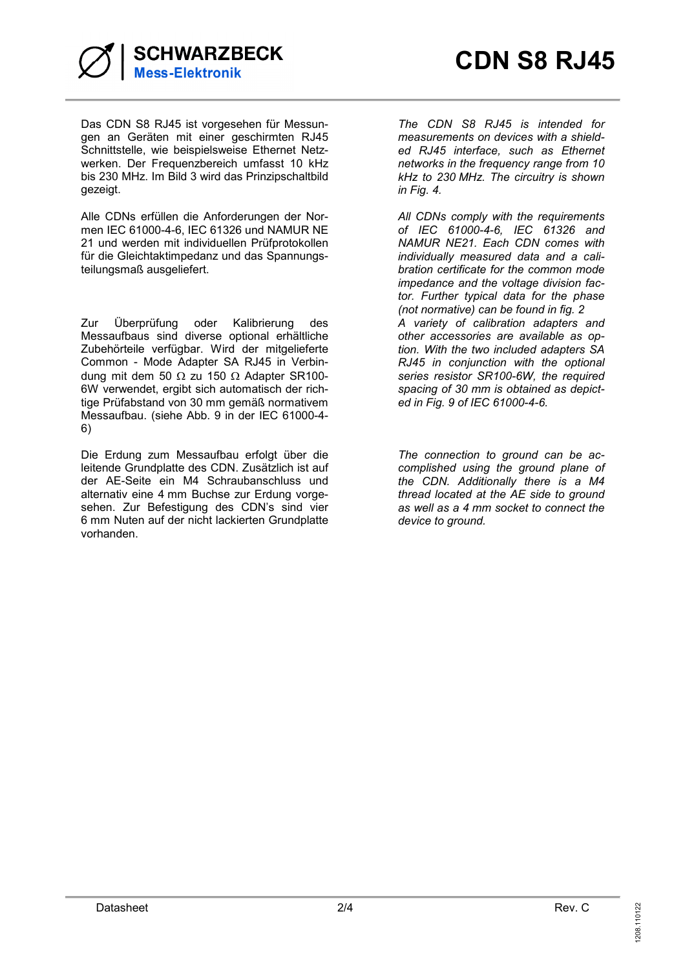

Das CDN S8 RJ45 ist vorgesehen für Messungen an Geräten mit einer geschirmten RJ45 Schnittstelle, wie beispielsweise Ethernet Netzwerken. Der Frequenzbereich umfasst 10 kHz bis 230 MHz. Im Bild 3 wird das Prinzipschaltbild gezeigt.

Alle CDNs erfüllen die Anforderungen der Normen IEC 61000-4-6, IEC 61326 und NAMUR NE 21 und werden mit individuellen Prüfprotokollen für die Gleichtaktimpedanz und das Spannungsteilungsmaß ausgeliefert.

Zur Überprüfung oder Kalibrierung des Messaufbaus sind diverse optional erhältliche Zubehörteile verfügbar. Wird der mitgelieferte Common - Mode Adapter SA RJ45 in Verbindung mit dem 50  $\Omega$  zu 150  $\Omega$  Adapter SR100-6W verwendet, ergibt sich automatisch der richtige Prüfabstand von 30 mm gemäß normativem Messaufbau. (siehe Abb. 9 in der IEC 61000-4- 6)

Die Erdung zum Messaufbau erfolgt über die leitende Grundplatte des CDN. Zusätzlich ist auf der AE-Seite ein M4 Schraubanschluss und alternativ eine 4 mm Buchse zur Erdung vorgesehen. Zur Befestigung des CDN's sind vier 6 mm Nuten auf der nicht lackierten Grundplatte vorhanden.

*The CDN S8 RJ45 is intended for measurements on devices with a shielded RJ45 interface, such as Ethernet networks in the frequency range from 10 kHz to 230 MHz. The circuitry is shown in Fig. 4.* 

*All CDNs comply with the requirements of IEC 61000-4-6, IEC 61326 and NAMUR NE21. Each CDN comes with individually measured data and a calibration certificate for the common mode impedance and the voltage division factor. Further typical data for the phase (not normative) can be found in fig. 2 A variety of calibration adapters and other accessories are available as option. With the two included adapters SA RJ45 in conjunction with the optional series resistor SR100-6W, the required spacing of 30 mm is obtained as depicted in Fig. 9 of IEC 61000-4-6.* 

*The connection to ground can be accomplished using the ground plane of the CDN. Additionally there is a M4 thread located at the AE side to ground as well as a 4 mm socket to connect the device to ground.*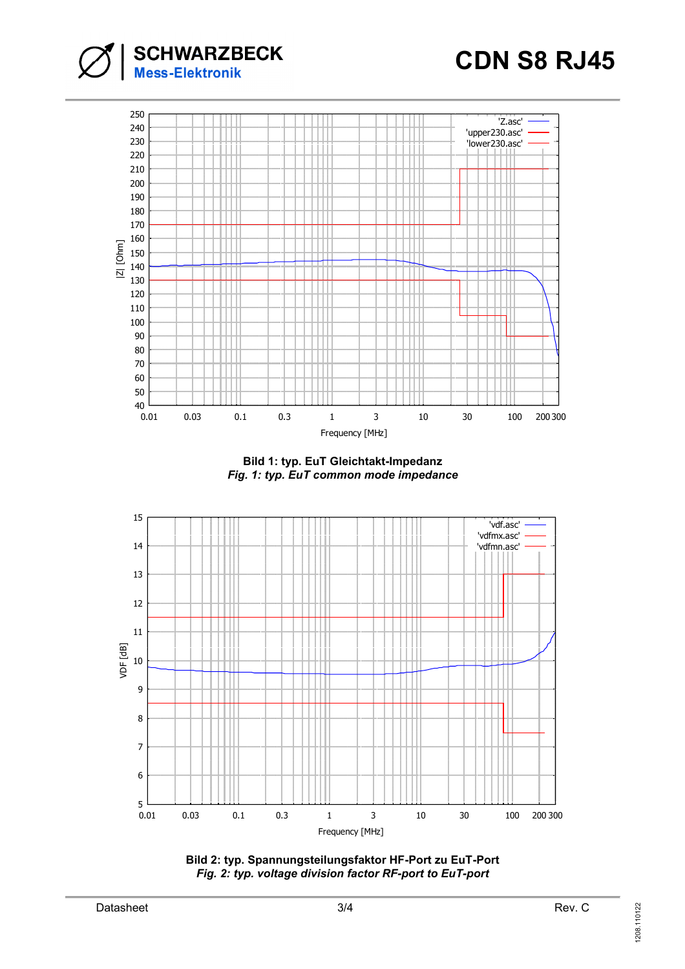



**Bild 1: typ. EuT Gleichtakt-Impedanz**  *Fig. 1: typ. EuT common mode impedance* 

![](_page_2_Figure_4.jpeg)

![](_page_2_Figure_5.jpeg)